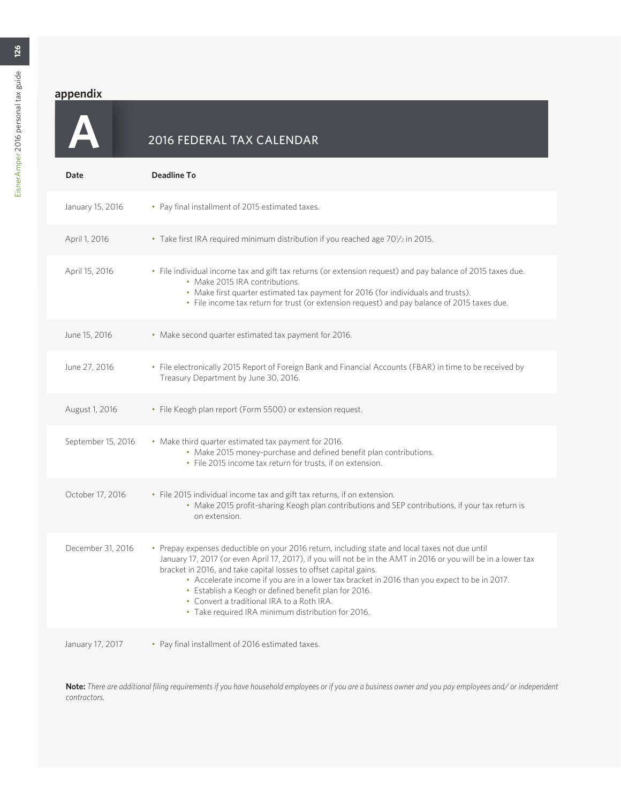**A**

## 2016 FEDERAL TAX CALENDAR

| Date               | <b>Deadline To</b>                                                                                                                                                                                                                                                                                                                                                                                                                                                                                                                                  |
|--------------------|-----------------------------------------------------------------------------------------------------------------------------------------------------------------------------------------------------------------------------------------------------------------------------------------------------------------------------------------------------------------------------------------------------------------------------------------------------------------------------------------------------------------------------------------------------|
| January 15, 2016   | • Pay final installment of 2015 estimated taxes.                                                                                                                                                                                                                                                                                                                                                                                                                                                                                                    |
| April 1, 2016      | • Take first IRA required minimum distribution if you reached age 70 <sup>1</sup> /2 in 2015.                                                                                                                                                                                                                                                                                                                                                                                                                                                       |
| April 15, 2016     | • File individual income tax and gift tax returns (or extension request) and pay balance of 2015 taxes due.<br>• Make 2015 IRA contributions.<br>• Make first quarter estimated tax payment for 2016 (for individuals and trusts).<br>. File income tax return for trust (or extension request) and pay balance of 2015 taxes due.                                                                                                                                                                                                                  |
| June 15, 2016      | • Make second quarter estimated tax payment for 2016.                                                                                                                                                                                                                                                                                                                                                                                                                                                                                               |
| June 27, 2016      | · File electronically 2015 Report of Foreign Bank and Financial Accounts (FBAR) in time to be received by<br>Treasury Department by June 30, 2016.                                                                                                                                                                                                                                                                                                                                                                                                  |
| August 1, 2016     | · File Keogh plan report (Form 5500) or extension request.                                                                                                                                                                                                                                                                                                                                                                                                                                                                                          |
| September 15, 2016 | • Make third quarter estimated tax payment for 2016.<br>• Make 2015 money-purchase and defined benefit plan contributions.<br>• File 2015 income tax return for trusts, if on extension.                                                                                                                                                                                                                                                                                                                                                            |
| October 17, 2016   | • File 2015 individual income tax and gift tax returns, if on extension.<br>• Make 2015 profit-sharing Keogh plan contributions and SEP contributions, if your tax return is<br>on extension.                                                                                                                                                                                                                                                                                                                                                       |
| December 31, 2016  | • Prepay expenses deductible on your 2016 return, including state and local taxes not due until<br>January 17, 2017 (or even April 17, 2017), if you will not be in the AMT in 2016 or you will be in a lower tax<br>bracket in 2016, and take capital losses to offset capital gains.<br>• Accelerate income if you are in a lower tax bracket in 2016 than you expect to be in 2017.<br>• Establish a Keogh or defined benefit plan for 2016.<br>• Convert a traditional IRA to a Roth IRA.<br>· Take required IRA minimum distribution for 2016. |
| January 17, 2017   | • Pay final installment of 2016 estimated taxes.                                                                                                                                                                                                                                                                                                                                                                                                                                                                                                    |

**Note:** *There are additional filing requirements if you have household employees or if you are a business owner and you pay employees and/ or independent contractors.*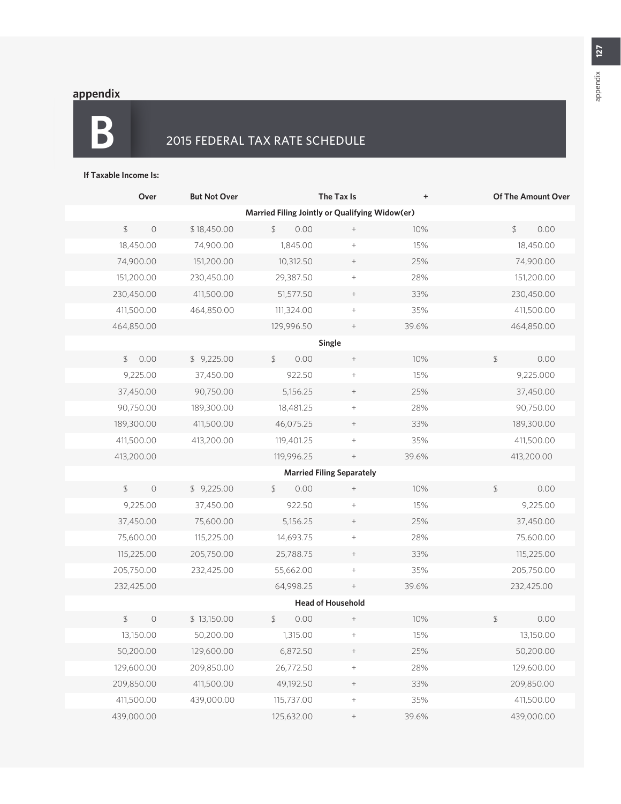**B**

## 2015 FEDERAL TAX RATE SCHEDULE

#### **If Taxable Income Is:**

| Over                                           | <b>But Not Over</b> |                 | The Tax Is                        | $\ddot{}$ |    | <b>Of The Amount Over</b> |  |  |
|------------------------------------------------|---------------------|-----------------|-----------------------------------|-----------|----|---------------------------|--|--|
| Married Filing Jointly or Qualifying Widow(er) |                     |                 |                                   |           |    |                           |  |  |
| $\updownarrow$<br>$\circ$                      | \$18,450.00         | $\oint$<br>0.00 | $^+$                              | 10%       |    | $\frac{4}{5}$<br>0.00     |  |  |
| 18,450.00                                      | 74,900.00           | 1,845.00        |                                   | 15%       |    | 18,450.00                 |  |  |
| 74,900.00                                      | 151,200.00          | 10,312.50       | $\qquad \qquad +$                 | 25%       |    | 74,900.00                 |  |  |
| 151,200.00                                     | 230,450.00          | 29,387.50       |                                   | 28%       |    | 151,200.00                |  |  |
| 230,450.00                                     | 411,500.00          | 51,577.50       | $^+$                              | 33%       |    | 230,450.00                |  |  |
| 411,500.00                                     | 464,850.00          | 111,324.00      | $\hspace{1.0cm} + \hspace{1.0cm}$ | 35%       |    | 411,500.00                |  |  |
| 464,850.00                                     |                     | 129,996.50      |                                   | 39.6%     |    | 464,850.00                |  |  |
|                                                |                     |                 | Single                            |           |    |                           |  |  |
| 0.00<br>\$                                     | \$9,225.00          | 0.00<br>\$      |                                   | 10%       | \$ | 0.00                      |  |  |
| 9,225.00                                       | 37,450.00           | 922.50          |                                   | 15%       |    | 9,225.000                 |  |  |
| 37,450.00                                      | 90,750.00           | 5,156.25        | $^+$                              | 25%       |    | 37,450.00                 |  |  |
| 90,750.00                                      | 189,300.00          | 18,481.25       |                                   | 28%       |    | 90,750.00                 |  |  |
| 189,300.00                                     | 411,500.00          | 46,075.25       | $\! + \!\!\!\!$                   | 33%       |    | 189,300.00                |  |  |
| 411,500.00                                     | 413,200.00          | 119,401.25      | $\hspace{1.0cm} + \hspace{1.0cm}$ | 35%       |    | 411,500.00                |  |  |
| 413,200.00                                     |                     | 119,996.25      |                                   | 39.6%     |    | 413,200.00                |  |  |
|                                                |                     |                 | <b>Married Filing Separately</b>  |           |    |                           |  |  |
| $\mathfrak{D}$<br>$\circ$                      | \$9,225.00          | \$<br>0.00      | $^+$                              | 10%       | \$ | 0.00                      |  |  |
| 9,225.00                                       | 37,450.00           | 922.50          | $\! + \!\!\!\!$                   | 15%       |    | 9,225.00                  |  |  |
| 37,450.00                                      | 75,600.00           | 5,156.25        |                                   | 25%       |    | 37,450.00                 |  |  |
| 75,600.00                                      | 115,225.00          | 14,693.75       | $\hspace{1.0cm} + \hspace{1.0cm}$ | 28%       |    | 75,600.00                 |  |  |
| 115,225.00                                     | 205,750.00          | 25,788.75       | $\qquad \qquad +$                 | 33%       |    | 115,225.00                |  |  |
| 205,750.00                                     | 232,425.00          | 55,662.00       | $\hspace{1.0cm} + \hspace{1.0cm}$ | 35%       |    | 205,750.00                |  |  |
| 232,425.00                                     |                     | 64,998.25       | $^+$                              | 39.6%     |    | 232,425.00                |  |  |
| <b>Head of Household</b>                       |                     |                 |                                   |           |    |                           |  |  |
| $\oint$<br>$\circ$                             | \$13,150.00         | \$<br>0.00      | $^+$                              | 10%       | \$ | 0.00                      |  |  |
| 13,150.00                                      | 50,200.00           | 1,315.00        | $+$                               | 15%       |    | 13,150.00                 |  |  |
| 50,200.00                                      | 129,600.00          | 6,872.50        | $\! + \!$                         | 25%       |    | 50,200.00                 |  |  |
| 129,600.00                                     | 209,850.00          | 26,772.50       | $\! + \!$                         | 28%       |    | 129,600.00                |  |  |
| 209,850.00                                     | 411,500.00          | 49,192.50       | $\qquad \qquad +$                 | 33%       |    | 209,850.00                |  |  |
| 411,500.00                                     | 439,000.00          | 115,737.00      | $\! + \!\!\!\!$                   | 35%       |    | 411,500.00                |  |  |
| 439,000.00                                     |                     | 125,632.00      | $\qquad \qquad +$                 | 39.6%     |    | 439,000.00                |  |  |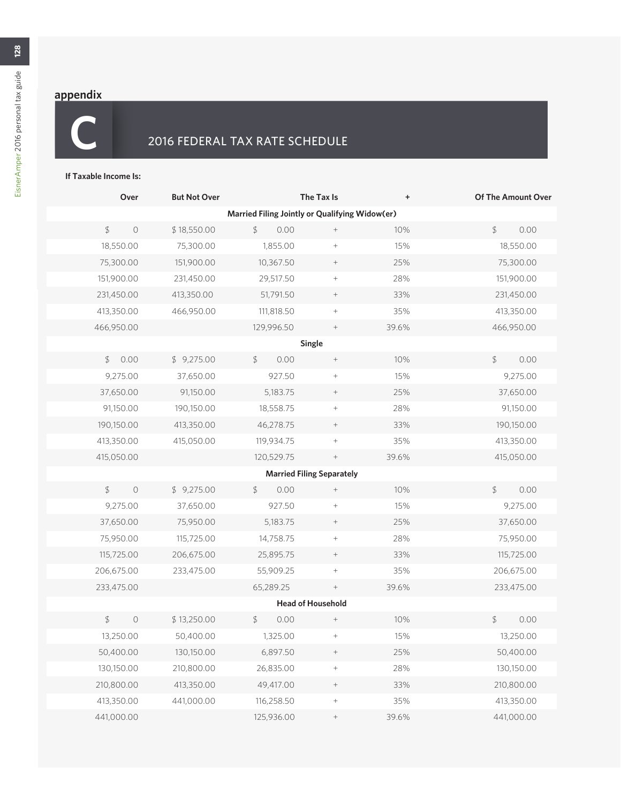## 2016 FEDERAL TAX RATE SCHEDULE

#### **If Taxable Income Is:**

| Over                                           | <b>But Not Over</b> |            | The Tax Is                       |       | <b>Of The Amount Over</b> |  |  |  |  |  |
|------------------------------------------------|---------------------|------------|----------------------------------|-------|---------------------------|--|--|--|--|--|
| Married Filing Jointly or Qualifying Widow(er) |                     |            |                                  |       |                           |  |  |  |  |  |
| $\oint$<br>$\circ$                             | \$18,550.00         | \$<br>0.00 | $^+$                             | 10%   | $\oint$<br>0.00           |  |  |  |  |  |
| 18,550.00                                      | 75,300.00           | 1,855.00   | $^+$                             | 15%   | 18,550.00                 |  |  |  |  |  |
| 75,300.00                                      | 151,900.00          | 10,367.50  | $\; +$                           | 25%   | 75,300.00                 |  |  |  |  |  |
| 151,900.00                                     | 231,450.00          | 29,517.50  | $\! + \!$                        | 28%   | 151,900.00                |  |  |  |  |  |
| 231,450.00                                     | 413,350.00          | 51,791.50  | $^+$                             | 33%   | 231,450.00                |  |  |  |  |  |
| 413,350.00                                     | 466,950.00          | 111,818.50 | $^+$                             | 35%   | 413,350.00                |  |  |  |  |  |
| 466,950.00                                     |                     | 129,996.50 | $^+$                             | 39.6% | 466,950.00                |  |  |  |  |  |
|                                                | Single              |            |                                  |       |                           |  |  |  |  |  |
| 0.00<br>\$                                     | \$9,275.00          | 0.00<br>\$ | $^+$                             | 10%   | \$<br>0.00                |  |  |  |  |  |
| 9,275.00                                       | 37,650.00           | 927.50     | $\! + \!$                        | 15%   | 9,275.00                  |  |  |  |  |  |
| 37,650.00                                      | 91,150.00           | 5,183.75   | $^+$                             | 25%   | 37,650.00                 |  |  |  |  |  |
| 91,150.00                                      | 190,150.00          | 18,558.75  |                                  | 28%   | 91,150.00                 |  |  |  |  |  |
| 190,150.00                                     | 413,350.00          | 46,278.75  | $^+$                             | 33%   | 190,150.00                |  |  |  |  |  |
| 413,350.00                                     | 415,050.00          | 119,934.75 | $^+$                             | 35%   | 413,350.00                |  |  |  |  |  |
| 415,050.00                                     |                     | 120,529.75 | $\qquad \qquad +$                | 39.6% | 415,050.00                |  |  |  |  |  |
|                                                |                     |            | <b>Married Filing Separately</b> |       |                           |  |  |  |  |  |
| $\oint$<br>$\circ$                             | \$9,275.00          | \$<br>0.00 | $^+$                             | 10%   | 0.00<br>\$                |  |  |  |  |  |
| 9,275.00                                       | 37,650.00           | 927.50     |                                  | 15%   | 9,275.00                  |  |  |  |  |  |
| 37,650.00                                      | 75,950.00           | 5,183.75   | $^+$                             | 25%   | 37,650.00                 |  |  |  |  |  |
| 75,950.00                                      | 115,725.00          | 14,758.75  |                                  | 28%   | 75,950.00                 |  |  |  |  |  |
| 115,725.00                                     | 206,675.00          |            | $\; +$                           | 33%   | 115,725.00                |  |  |  |  |  |
| 206,675.00                                     | 233,475.00          |            | $\! + \!\!\!\!$                  | 35%   | 206,675.00                |  |  |  |  |  |
| 233,475.00                                     |                     |            | $^+$                             | 39.6% | 233,475.00                |  |  |  |  |  |
| <b>Head of Household</b>                       |                     |            |                                  |       |                           |  |  |  |  |  |
| $\oint$<br>$\circ$                             | \$13,250.00         | 0.00<br>\$ | $^+$                             | 10%   | \$<br>0.00                |  |  |  |  |  |
| 13,250.00                                      | 50,400.00           | 1,325.00   |                                  | 15%   | 13,250.00                 |  |  |  |  |  |
| 50,400.00                                      | 130,150.00          | 6,897.50   |                                  | 25%   | 50,400.00                 |  |  |  |  |  |
| 130,150.00                                     | 210,800.00          | 26,835.00  | $\! + \!$                        | 28%   | 130,150.00                |  |  |  |  |  |
| 210,800.00                                     | 413,350.00          | 49,417.00  |                                  | 33%   | 210,800.00                |  |  |  |  |  |
| 413,350.00                                     | 441,000.00          | 116,258.50 | $\! + \!$                        | 35%   | 413,350.00                |  |  |  |  |  |
| 441,000.00                                     |                     | 125,936.00 | $\hspace{1.0cm} +$               | 39.6% | 441,000.00                |  |  |  |  |  |